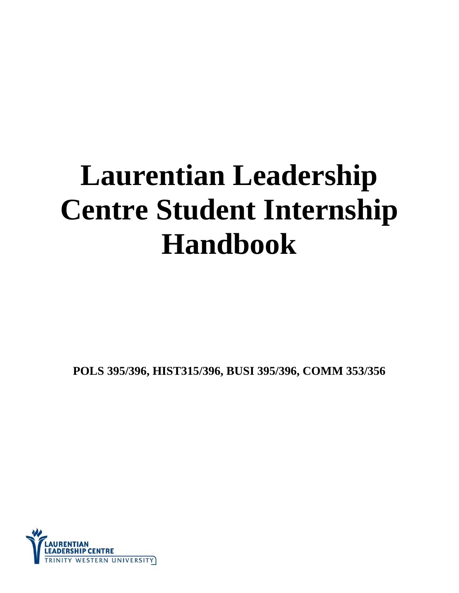# **Laurentian Leadership Centre Student Internship Handbook**

**POLS 395/396, HIST315/396, BUSI 395/396, COMM 353/356**

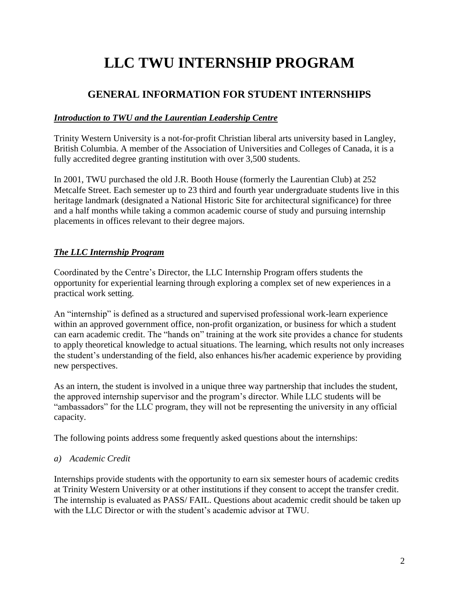# **LLC TWU INTERNSHIP PROGRAM**

# **GENERAL INFORMATION FOR STUDENT INTERNSHIPS**

#### *Introduction to TWU and the Laurentian Leadership Centre*

Trinity Western University is a not-for-profit Christian liberal arts university based in Langley, British Columbia. A member of the Association of Universities and Colleges of Canada, it is a fully accredited degree granting institution with over 3,500 students.

In 2001, TWU purchased the old J.R. Booth House (formerly the Laurentian Club) at 252 Metcalfe Street. Each semester up to 23 third and fourth year undergraduate students live in this heritage landmark (designated a National Historic Site for architectural significance) for three and a half months while taking a common academic course of study and pursuing internship placements in offices relevant to their degree majors.

### *The LLC Internship Program*

Coordinated by the Centre's Director, the LLC Internship Program offers students the opportunity for experiential learning through exploring a complex set of new experiences in a practical work setting.

An "internship" is defined as a structured and supervised professional work-learn experience within an approved government office, non-profit organization, or business for which a student can earn academic credit. The "hands on" training at the work site provides a chance for students to apply theoretical knowledge to actual situations. The learning, which results not only increases the student's understanding of the field, also enhances his/her academic experience by providing new perspectives.

As an intern, the student is involved in a unique three way partnership that includes the student, the approved internship supervisor and the program's director. While LLC students will be "ambassadors" for the LLC program, they will not be representing the university in any official capacity.

The following points address some frequently asked questions about the internships:

#### *a) Academic Credit*

Internships provide students with the opportunity to earn six semester hours of academic credits at Trinity Western University or at other institutions if they consent to accept the transfer credit. The internship is evaluated as PASS/ FAIL. Questions about academic credit should be taken up with the LLC Director or with the student's academic advisor at TWU.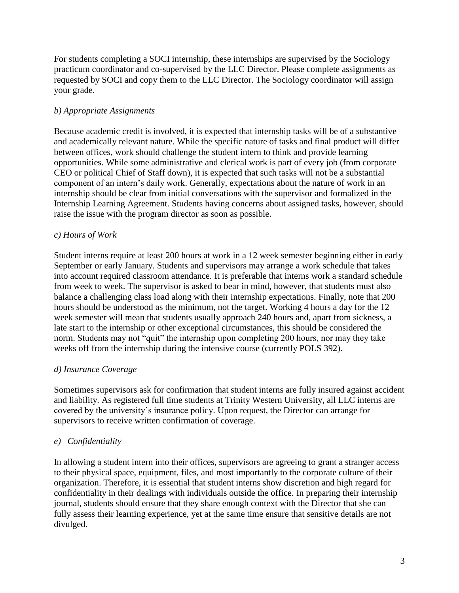For students completing a SOCI internship, these internships are supervised by the Sociology practicum coordinator and co-supervised by the LLC Director. Please complete assignments as requested by SOCI and copy them to the LLC Director. The Sociology coordinator will assign your grade.

#### *b) Appropriate Assignments*

Because academic credit is involved, it is expected that internship tasks will be of a substantive and academically relevant nature. While the specific nature of tasks and final product will differ between offices, work should challenge the student intern to think and provide learning opportunities. While some administrative and clerical work is part of every job (from corporate CEO or political Chief of Staff down), it is expected that such tasks will not be a substantial component of an intern's daily work. Generally, expectations about the nature of work in an internship should be clear from initial conversations with the supervisor and formalized in the Internship Learning Agreement. Students having concerns about assigned tasks, however, should raise the issue with the program director as soon as possible.

#### *c) Hours of Work*

Student interns require at least 200 hours at work in a 12 week semester beginning either in early September or early January. Students and supervisors may arrange a work schedule that takes into account required classroom attendance. It is preferable that interns work a standard schedule from week to week. The supervisor is asked to bear in mind, however, that students must also balance a challenging class load along with their internship expectations. Finally, note that 200 hours should be understood as the minimum, not the target. Working 4 hours a day for the 12 week semester will mean that students usually approach 240 hours and, apart from sickness, a late start to the internship or other exceptional circumstances, this should be considered the norm. Students may not "quit" the internship upon completing 200 hours, nor may they take weeks off from the internship during the intensive course (currently POLS 392).

#### *d) Insurance Coverage*

Sometimes supervisors ask for confirmation that student interns are fully insured against accident and liability. As registered full time students at Trinity Western University, all LLC interns are covered by the university's insurance policy. Upon request, the Director can arrange for supervisors to receive written confirmation of coverage.

#### *e) Confidentiality*

In allowing a student intern into their offices, supervisors are agreeing to grant a stranger access to their physical space, equipment, files, and most importantly to the corporate culture of their organization. Therefore, it is essential that student interns show discretion and high regard for confidentiality in their dealings with individuals outside the office. In preparing their internship journal, students should ensure that they share enough context with the Director that she can fully assess their learning experience, yet at the same time ensure that sensitive details are not divulged.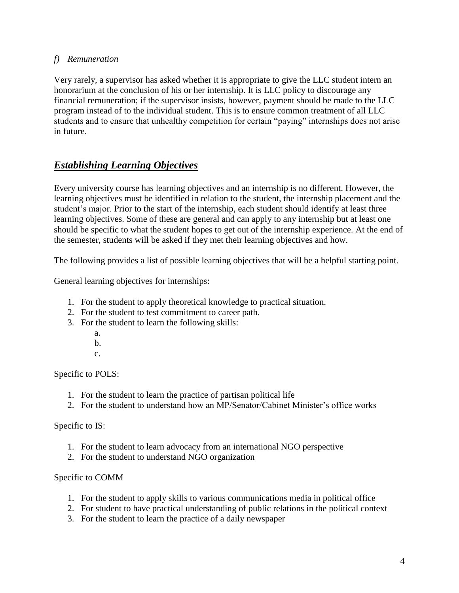#### *f) Remuneration*

Very rarely, a supervisor has asked whether it is appropriate to give the LLC student intern an honorarium at the conclusion of his or her internship. It is LLC policy to discourage any financial remuneration; if the supervisor insists, however, payment should be made to the LLC program instead of to the individual student. This is to ensure common treatment of all LLC students and to ensure that unhealthy competition for certain "paying" internships does not arise in future.

## *Establishing Learning Objectives*

Every university course has learning objectives and an internship is no different. However, the learning objectives must be identified in relation to the student, the internship placement and the student's major. Prior to the start of the internship, each student should identify at least three learning objectives. Some of these are general and can apply to any internship but at least one should be specific to what the student hopes to get out of the internship experience. At the end of the semester, students will be asked if they met their learning objectives and how.

The following provides a list of possible learning objectives that will be a helpful starting point.

General learning objectives for internships:

- 1. For the student to apply theoretical knowledge to practical situation.
- 2. For the student to test commitment to career path.
- 3. For the student to learn the following skills:
	- a.
	- b.
	- c.

Specific to POLS:

- 1. For the student to learn the practice of partisan political life
- 2. For the student to understand how an MP/Senator/Cabinet Minister's office works

#### Specific to IS:

- 1. For the student to learn advocacy from an international NGO perspective
- 2. For the student to understand NGO organization

#### Specific to COMM

- 1. For the student to apply skills to various communications media in political office
- 2. For student to have practical understanding of public relations in the political context
- 3. For the student to learn the practice of a daily newspaper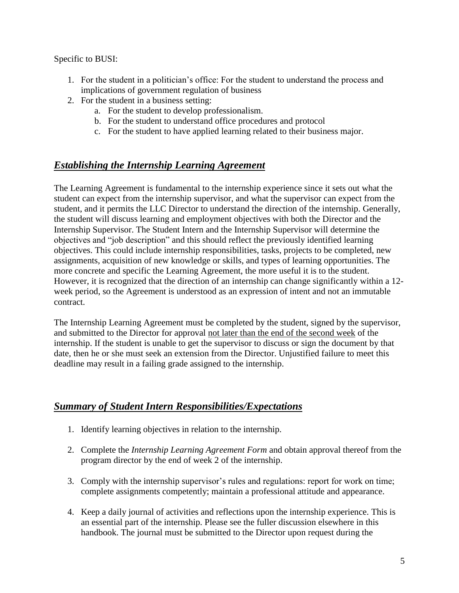Specific to BUSI:

- 1. For the student in a politician's office: For the student to understand the process and implications of government regulation of business
- 2. For the student in a business setting:
	- a. For the student to develop professionalism.
	- b. For the student to understand office procedures and protocol
	- c. For the student to have applied learning related to their business major.

# *Establishing the Internship Learning Agreement*

The Learning Agreement is fundamental to the internship experience since it sets out what the student can expect from the internship supervisor, and what the supervisor can expect from the student, and it permits the LLC Director to understand the direction of the internship. Generally, the student will discuss learning and employment objectives with both the Director and the Internship Supervisor. The Student Intern and the Internship Supervisor will determine the objectives and "job description" and this should reflect the previously identified learning objectives. This could include internship responsibilities, tasks, projects to be completed, new assignments, acquisition of new knowledge or skills, and types of learning opportunities. The more concrete and specific the Learning Agreement, the more useful it is to the student. However, it is recognized that the direction of an internship can change significantly within a 12 week period, so the Agreement is understood as an expression of intent and not an immutable contract.

The Internship Learning Agreement must be completed by the student, signed by the supervisor, and submitted to the Director for approval not later than the end of the second week of the internship. If the student is unable to get the supervisor to discuss or sign the document by that date, then he or she must seek an extension from the Director. Unjustified failure to meet this deadline may result in a failing grade assigned to the internship.

## *Summary of Student Intern Responsibilities/Expectations*

- 1. Identify learning objectives in relation to the internship.
- 2. Complete the *Internship Learning Agreement Form* and obtain approval thereof from the program director by the end of week 2 of the internship.
- 3. Comply with the internship supervisor's rules and regulations: report for work on time; complete assignments competently; maintain a professional attitude and appearance.
- 4. Keep a daily journal of activities and reflections upon the internship experience. This is an essential part of the internship. Please see the fuller discussion elsewhere in this handbook. The journal must be submitted to the Director upon request during the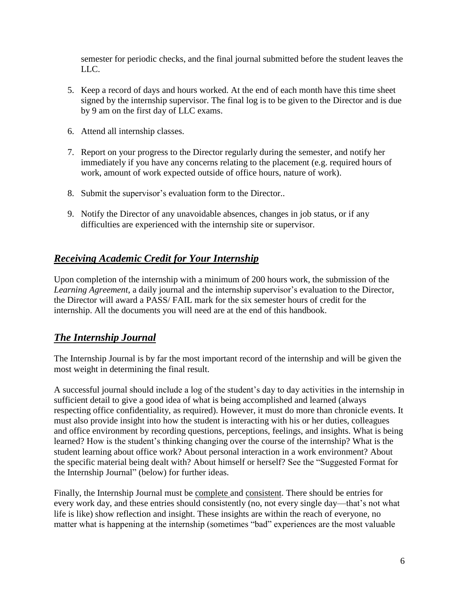semester for periodic checks, and the final journal submitted before the student leaves the LLC.

- 5. Keep a record of days and hours worked. At the end of each month have this time sheet signed by the internship supervisor. The final log is to be given to the Director and is due by 9 am on the first day of LLC exams.
- 6. Attend all internship classes.
- 7. Report on your progress to the Director regularly during the semester, and notify her immediately if you have any concerns relating to the placement (e.g. required hours of work, amount of work expected outside of office hours, nature of work).
- 8. Submit the supervisor's evaluation form to the Director..
- 9. Notify the Director of any unavoidable absences, changes in job status, or if any difficulties are experienced with the internship site or supervisor.

# *Receiving Academic Credit for Your Internship*

Upon completion of the internship with a minimum of 200 hours work, the submission of the *Learning Agreement*, a daily journal and the internship supervisor's evaluation to the Director, the Director will award a PASS/ FAIL mark for the six semester hours of credit for the internship. All the documents you will need are at the end of this handbook.

# *The Internship Journal*

The Internship Journal is by far the most important record of the internship and will be given the most weight in determining the final result.

A successful journal should include a log of the student's day to day activities in the internship in sufficient detail to give a good idea of what is being accomplished and learned (always respecting office confidentiality, as required). However, it must do more than chronicle events. It must also provide insight into how the student is interacting with his or her duties, colleagues and office environment by recording questions, perceptions, feelings, and insights. What is being learned? How is the student's thinking changing over the course of the internship? What is the student learning about office work? About personal interaction in a work environment? About the specific material being dealt with? About himself or herself? See the "Suggested Format for the Internship Journal" (below) for further ideas.

Finally, the Internship Journal must be complete and consistent. There should be entries for every work day, and these entries should consistently (no, not every single day—that's not what life is like) show reflection and insight. These insights are within the reach of everyone, no matter what is happening at the internship (sometimes "bad" experiences are the most valuable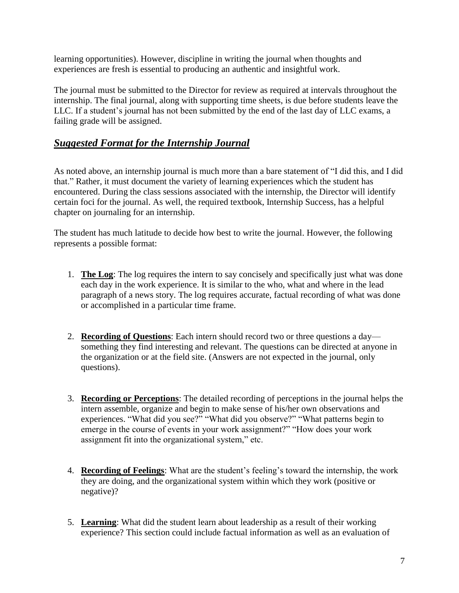learning opportunities). However, discipline in writing the journal when thoughts and experiences are fresh is essential to producing an authentic and insightful work.

The journal must be submitted to the Director for review as required at intervals throughout the internship. The final journal, along with supporting time sheets, is due before students leave the LLC. If a student's journal has not been submitted by the end of the last day of LLC exams, a failing grade will be assigned.

# *Suggested Format for the Internship Journal*

As noted above, an internship journal is much more than a bare statement of "I did this, and I did that." Rather, it must document the variety of learning experiences which the student has encountered. During the class sessions associated with the internship, the Director will identify certain foci for the journal. As well, the required textbook, Internship Success, has a helpful chapter on journaling for an internship.

The student has much latitude to decide how best to write the journal. However, the following represents a possible format:

- 1. **The Log**: The log requires the intern to say concisely and specifically just what was done each day in the work experience. It is similar to the who, what and where in the lead paragraph of a news story. The log requires accurate, factual recording of what was done or accomplished in a particular time frame.
- 2. **Recording of Questions**: Each intern should record two or three questions a day something they find interesting and relevant. The questions can be directed at anyone in the organization or at the field site. (Answers are not expected in the journal, only questions).
- 3. **Recording or Perceptions**: The detailed recording of perceptions in the journal helps the intern assemble, organize and begin to make sense of his/her own observations and experiences. "What did you see?" "What did you observe?" "What patterns begin to emerge in the course of events in your work assignment?" "How does your work assignment fit into the organizational system," etc.
- 4. **Recording of Feelings**: What are the student's feeling's toward the internship, the work they are doing, and the organizational system within which they work (positive or negative)?
- 5. **Learning**: What did the student learn about leadership as a result of their working experience? This section could include factual information as well as an evaluation of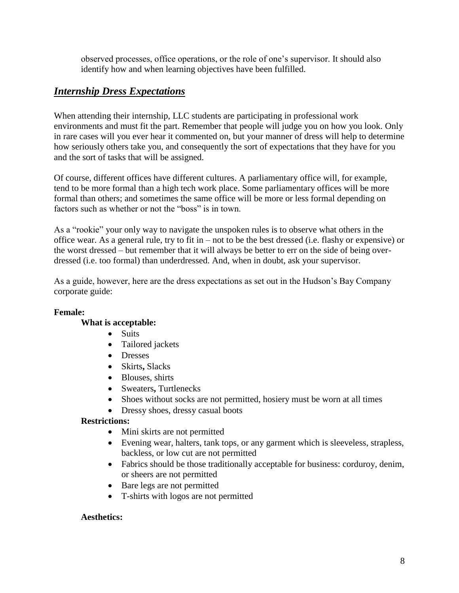observed processes, office operations, or the role of one's supervisor. It should also identify how and when learning objectives have been fulfilled.

## *Internship Dress Expectations*

When attending their internship, LLC students are participating in professional work environments and must fit the part. Remember that people will judge you on how you look. Only in rare cases will you ever hear it commented on, but your manner of dress will help to determine how seriously others take you, and consequently the sort of expectations that they have for you and the sort of tasks that will be assigned.

Of course, different offices have different cultures. A parliamentary office will, for example, tend to be more formal than a high tech work place. Some parliamentary offices will be more formal than others; and sometimes the same office will be more or less formal depending on factors such as whether or not the "boss" is in town.

As a "rookie" your only way to navigate the unspoken rules is to observe what others in the office wear. As a general rule, try to fit in – not to be the best dressed (i.e. flashy or expensive) or the worst dressed – but remember that it will always be better to err on the side of being overdressed (i.e. too formal) than underdressed. And, when in doubt, ask your supervisor.

As a guide, however, here are the dress expectations as set out in the Hudson's Bay Company corporate guide:

#### **Female:**

#### **What is acceptable:**

- Suits
- Tailored jackets
- Dresses
- Skirts**,** Slacks
- Blouses, shirts
- Sweaters**,** Turtlenecks
- Shoes without socks are not permitted, hosiery must be worn at all times
- Dressy shoes, dressy casual boots

#### **Restrictions:**

- Mini skirts are not permitted
- Evening wear, halters, tank tops, or any garment which is sleeveless, strapless, backless, or low cut are not permitted
- Fabrics should be those traditionally acceptable for business: corduroy, denim, or sheers are not permitted
- Bare legs are not permitted
- T-shirts with logos are not permitted

#### **Aesthetics:**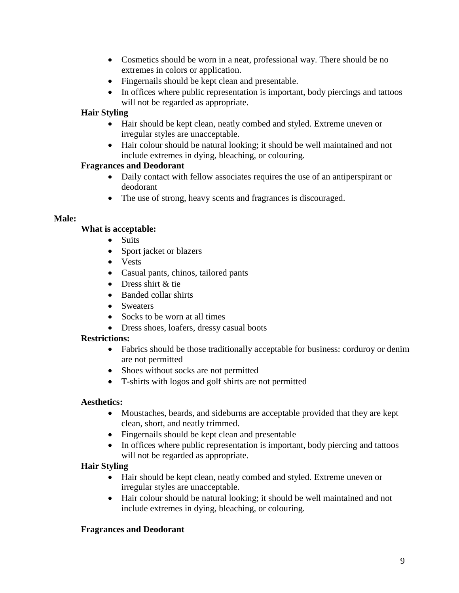- Cosmetics should be worn in a neat, professional way. There should be no extremes in colors or application.
- Fingernails should be kept clean and presentable.
- In offices where public representation is important, body piercings and tattoos will not be regarded as appropriate.

#### **Hair Styling**

- Hair should be kept clean, neatly combed and styled. Extreme uneven or irregular styles are unacceptable.
- Hair colour should be natural looking; it should be well maintained and not include extremes in dying, bleaching, or colouring.

#### **Fragrances and Deodorant**

- Daily contact with fellow associates requires the use of an antiperspirant or deodorant
- The use of strong, heavy scents and fragrances is discouraged.

#### **Male:**

#### **What is acceptable:**

- Suits
- Sport jacket or blazers
- Vests
- Casual pants, chinos, tailored pants
- Dress shirt & tie
- Banded collar shirts
- Sweaters
- Socks to be worn at all times
- Dress shoes, loafers, dressy casual boots

#### **Restrictions:**

- Fabrics should be those traditionally acceptable for business: corduroy or denim are not permitted
- Shoes without socks are not permitted
- T-shirts with logos and golf shirts are not permitted

#### **Aesthetics:**

- Moustaches, beards, and sideburns are acceptable provided that they are kept clean, short, and neatly trimmed.
- Fingernails should be kept clean and presentable
- In offices where public representation is important, body piercing and tattoos will not be regarded as appropriate.

#### **Hair Styling**

- Hair should be kept clean, neatly combed and styled. Extreme uneven or irregular styles are unacceptable.
- Hair colour should be natural looking; it should be well maintained and not include extremes in dying, bleaching, or colouring.

#### **Fragrances and Deodorant**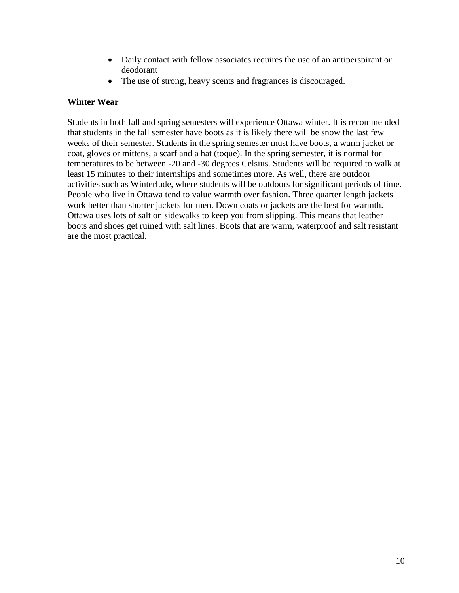- Daily contact with fellow associates requires the use of an antiperspirant or deodorant
- The use of strong, heavy scents and fragrances is discouraged.

#### **Winter Wear**

Students in both fall and spring semesters will experience Ottawa winter. It is recommended that students in the fall semester have boots as it is likely there will be snow the last few weeks of their semester. Students in the spring semester must have boots, a warm jacket or coat, gloves or mittens, a scarf and a hat (toque). In the spring semester, it is normal for temperatures to be between -20 and -30 degrees Celsius. Students will be required to walk at least 15 minutes to their internships and sometimes more. As well, there are outdoor activities such as Winterlude, where students will be outdoors for significant periods of time. People who live in Ottawa tend to value warmth over fashion. Three quarter length jackets work better than shorter jackets for men. Down coats or jackets are the best for warmth. Ottawa uses lots of salt on sidewalks to keep you from slipping. This means that leather boots and shoes get ruined with salt lines. Boots that are warm, waterproof and salt resistant are the most practical.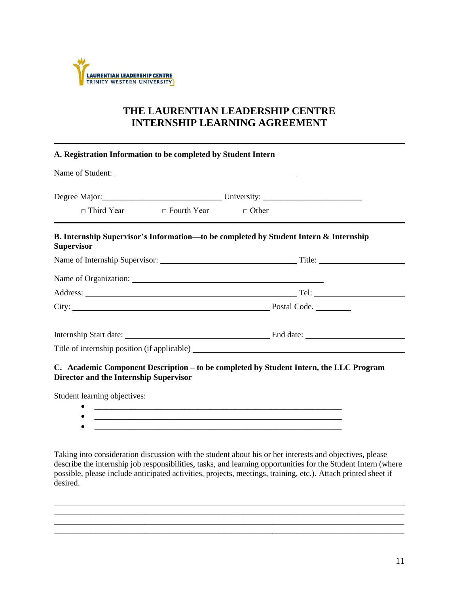

# **THE LAURENTIAN LEADERSHIP CENTRE INTERNSHIP LEARNING AGREEMENT**

| Name of Student:                                                                                           |  |  |  |  |  |
|------------------------------------------------------------------------------------------------------------|--|--|--|--|--|
|                                                                                                            |  |  |  |  |  |
| $\Box$ Third Year $\Box$ Fourth Year $\Box$ Other                                                          |  |  |  |  |  |
| B. Internship Supervisor's Information—to be completed by Student Intern & Internship<br><b>Supervisor</b> |  |  |  |  |  |
|                                                                                                            |  |  |  |  |  |
|                                                                                                            |  |  |  |  |  |
|                                                                                                            |  |  |  |  |  |
|                                                                                                            |  |  |  |  |  |
|                                                                                                            |  |  |  |  |  |
|                                                                                                            |  |  |  |  |  |

**C. Academic Component Description – to be completed by Student Intern, the LLC Program Director and the Internship Supervisor**

Student learning objectives:

- **\_\_\_\_\_\_\_\_\_\_\_\_\_\_\_\_\_\_\_\_\_\_\_\_\_\_\_\_\_\_\_\_\_\_\_\_\_\_\_\_\_\_\_\_\_\_\_\_\_\_\_\_\_\_\_\_\_\_\_\_ \_\_\_\_\_\_\_\_\_\_\_\_\_\_\_\_\_\_\_\_\_\_\_\_\_\_\_\_\_\_\_\_\_\_\_\_\_\_\_\_\_\_\_\_\_\_\_\_\_\_\_\_\_\_\_\_\_\_\_\_**
- **\_\_\_\_\_\_\_\_\_\_\_\_\_\_\_\_\_\_\_\_\_\_\_\_\_\_\_\_\_\_\_\_\_\_\_\_\_\_\_\_\_\_\_\_\_\_\_\_\_\_\_\_\_\_\_\_\_\_\_\_**

Taking into consideration discussion with the student about his or her interests and objectives, please describe the internship job responsibilities, tasks, and learning opportunities for the Student Intern (where possible, please include anticipated activities, projects, meetings, training, etc.). Attach printed sheet if desired.

\_\_\_\_\_\_\_\_\_\_\_\_\_\_\_\_\_\_\_\_\_\_\_\_\_\_\_\_\_\_\_\_\_\_\_\_\_\_\_\_\_\_\_\_\_\_\_\_\_\_\_\_\_\_\_\_\_\_\_\_\_\_\_\_\_\_\_\_\_\_\_\_\_\_\_\_\_\_\_\_\_\_\_\_\_

\_\_\_\_\_\_\_\_\_\_\_\_\_\_\_\_\_\_\_\_\_\_\_\_\_\_\_\_\_\_\_\_\_\_\_\_\_\_\_\_\_\_\_\_\_\_\_\_\_\_\_\_\_\_\_\_\_\_\_\_\_\_\_\_\_\_\_\_\_\_\_\_\_\_\_\_\_\_\_\_\_\_\_\_\_

 $\_$  ,  $\_$  ,  $\_$  ,  $\_$  ,  $\_$  ,  $\_$  ,  $\_$  ,  $\_$  ,  $\_$  ,  $\_$  ,  $\_$  ,  $\_$  ,  $\_$  ,  $\_$  ,  $\_$  ,  $\_$  ,  $\_$  ,  $\_$  ,  $\_$  ,  $\_$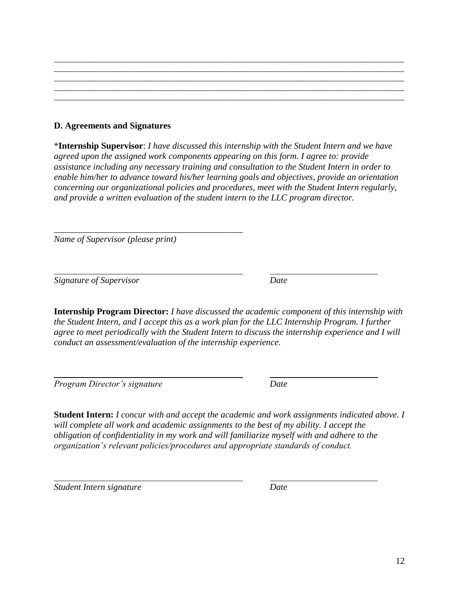#### **D. Agreements and Signatures**

\***Internship Supervisor**: *I have discussed this internship with the Student Intern and we have agreed upon the assigned work components appearing on this form. I agree to: provide assistance including any necessary training and consultation to the Student Intern in order to enable him/her to advance toward his/her learning goals and objectives, provide an orientation concerning our organizational policies and procedures, meet with the Student Intern regularly, and provide a written evaluation of the student intern to the LLC program director.*

\_\_\_\_\_\_\_\_\_\_\_\_\_\_\_\_\_\_\_\_\_\_\_\_\_\_\_\_\_\_\_\_\_\_\_\_\_\_\_\_\_\_\_\_\_\_\_\_\_\_\_\_\_\_\_\_\_\_\_\_\_\_\_\_\_\_\_\_\_\_\_\_\_\_\_\_\_\_\_\_\_\_\_\_\_ \_\_\_\_\_\_\_\_\_\_\_\_\_\_\_\_\_\_\_\_\_\_\_\_\_\_\_\_\_\_\_\_\_\_\_\_\_\_\_\_\_\_\_\_\_\_\_\_\_\_\_\_\_\_\_\_\_\_\_\_\_\_\_\_\_\_\_\_\_\_\_\_\_\_\_\_\_\_\_\_\_\_\_\_\_ \_\_\_\_\_\_\_\_\_\_\_\_\_\_\_\_\_\_\_\_\_\_\_\_\_\_\_\_\_\_\_\_\_\_\_\_\_\_\_\_\_\_\_\_\_\_\_\_\_\_\_\_\_\_\_\_\_\_\_\_\_\_\_\_\_\_\_\_\_\_\_\_\_\_\_\_\_\_\_\_\_\_\_\_\_ \_\_\_\_\_\_\_\_\_\_\_\_\_\_\_\_\_\_\_\_\_\_\_\_\_\_\_\_\_\_\_\_\_\_\_\_\_\_\_\_\_\_\_\_\_\_\_\_\_\_\_\_\_\_\_\_\_\_\_\_\_\_\_\_\_\_\_\_\_\_\_\_\_\_\_\_\_\_\_\_\_\_\_\_\_ \_\_\_\_\_\_\_\_\_\_\_\_\_\_\_\_\_\_\_\_\_\_\_\_\_\_\_\_\_\_\_\_\_\_\_\_\_\_\_\_\_\_\_\_\_\_\_\_\_\_\_\_\_\_\_\_\_\_\_\_\_\_\_\_\_\_\_\_\_\_\_\_\_\_\_\_\_\_\_\_\_\_\_\_\_

*Name of Supervisor (please print)*

\_\_\_\_\_\_\_\_\_\_\_\_\_\_\_\_\_\_\_\_\_\_\_\_\_\_\_\_\_\_\_\_\_\_\_\_\_\_\_\_\_\_

*Signature of Supervisor Date*

**Internship Program Director:** *I have discussed the academic component of this internship with the Student Intern, and I accept this as a work plan for the LLC Internship Program. I further agree to meet periodically with the Student Intern to discuss the internship experience and I will conduct an assessment/evaluation of the internship experience.*

*Program Director's signature Date*

**Student Intern:** *I concur with and accept the academic and work assignments indicated above. I will complete all work and academic assignments to the best of my ability. I accept the obligation of confidentiality in my work and will familiarize myself with and adhere to the organization's relevant policies/procedures and appropriate standards of conduct.* 

*Student Intern signature Date*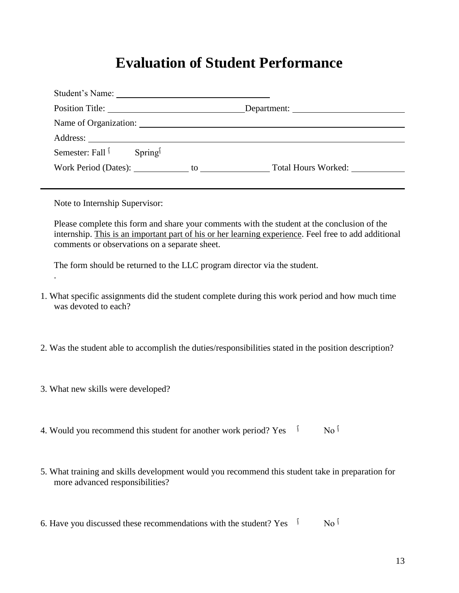# **Evaluation of Student Performance**

| Position Title:                                 | Department: |
|-------------------------------------------------|-------------|
| Name of Organization:                           |             |
|                                                 |             |
| Semester: Fall <sup>1</sup> Spring <sup>1</sup> |             |
|                                                 |             |
|                                                 |             |
| Note to Internship Supervisor:                  |             |

Please complete this form and share your comments with the student at the conclusion of the internship. This is an important part of his or her learning experience. Feel free to add additional comments or observations on a separate sheet.

The form should be returned to the LLC program director via the student.

- 1. What specific assignments did the student complete during this work period and how much time was devoted to each?
- 2. Was the student able to accomplish the duties/responsibilities stated in the position description?
- 3. What new skills were developed?

.

- 4. Would you recommend this student for another work period? Yes  $\dot{N}$  No <sup> $\dot{N}$ </sup>
- 5. What training and skills development would you recommend this student take in preparation for more advanced responsibilities?
- 6. Have you discussed these recommendations with the student? Yes  $\dot{N}$  No  $\dot{N}$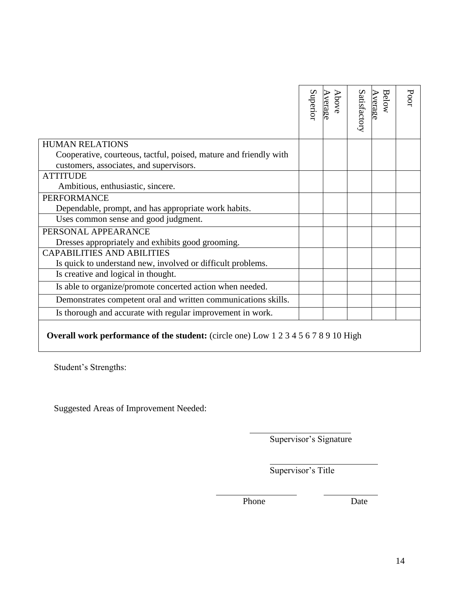|                                                                                            |                        | Superior | <b>Above</b><br>Average | Satisfactory | Below<br>Average | Poor |
|--------------------------------------------------------------------------------------------|------------------------|----------|-------------------------|--------------|------------------|------|
| <b>HUMAN RELATIONS</b>                                                                     |                        |          |                         |              |                  |      |
| Cooperative, courteous, tactful, poised, mature and friendly with                          |                        |          |                         |              |                  |      |
| customers, associates, and supervisors.                                                    |                        |          |                         |              |                  |      |
| <b>ATTITUDE</b>                                                                            |                        |          |                         |              |                  |      |
| Ambitious, enthusiastic, sincere.                                                          |                        |          |                         |              |                  |      |
| <b>PERFORMANCE</b>                                                                         |                        |          |                         |              |                  |      |
| Dependable, prompt, and has appropriate work habits.                                       |                        |          |                         |              |                  |      |
| Uses common sense and good judgment.                                                       |                        |          |                         |              |                  |      |
| PERSONAL APPEARANCE                                                                        |                        |          |                         |              |                  |      |
| Dresses appropriately and exhibits good grooming.                                          |                        |          |                         |              |                  |      |
| <b>CAPABILITIES AND ABILITIES</b>                                                          |                        |          |                         |              |                  |      |
| Is quick to understand new, involved or difficult problems.                                |                        |          |                         |              |                  |      |
| Is creative and logical in thought.                                                        |                        |          |                         |              |                  |      |
| Is able to organize/promote concerted action when needed.                                  |                        |          |                         |              |                  |      |
| Demonstrates competent oral and written communications skills.                             |                        |          |                         |              |                  |      |
| Is thorough and accurate with regular improvement in work.                                 |                        |          |                         |              |                  |      |
| <b>Overall work performance of the student:</b> (circle one) Low 1 2 3 4 5 6 7 8 9 10 High |                        |          |                         |              |                  |      |
| Student's Strengths:                                                                       |                        |          |                         |              |                  |      |
| <b>Suggested Areas of Improvement Needed:</b>                                              |                        |          |                         |              |                  |      |
|                                                                                            | Supervisor's Signature |          |                         |              |                  |      |
|                                                                                            | Supervisor's Title     |          |                         |              |                  |      |
|                                                                                            | Phone                  |          |                         | Date         |                  |      |

# **Overall work performance of the student:** (circle one) Low 1 2 3 4 5 6 7 8 9 10 High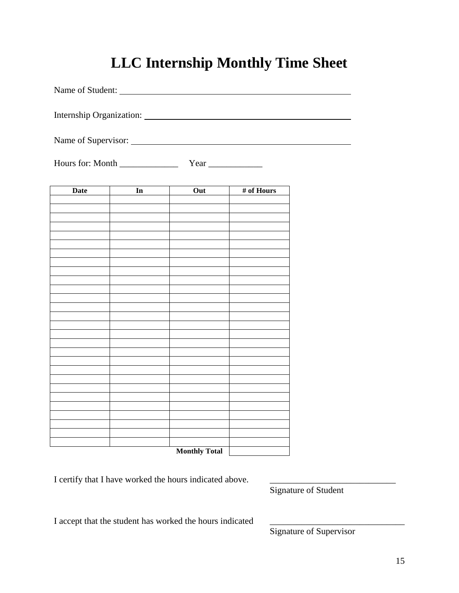# **LLC Internship Monthly Time Sheet**

| Name of Student: |                                                                                                                                                                                                                                |                                                                            |            |  |
|------------------|--------------------------------------------------------------------------------------------------------------------------------------------------------------------------------------------------------------------------------|----------------------------------------------------------------------------|------------|--|
|                  |                                                                                                                                                                                                                                | Internship Organization: National According of the According Organization: |            |  |
|                  |                                                                                                                                                                                                                                |                                                                            |            |  |
| Hours for: Month |                                                                                                                                                                                                                                |                                                                            |            |  |
| <b>Date</b>      | In the set of the set of the set of the set of the set of the set of the set of the set of the set of the set of the set of the set of the set of the set of the set of the set of the set of the set of the set of the set of | Out                                                                        | # of Hours |  |
|                  |                                                                                                                                                                                                                                |                                                                            |            |  |
|                  |                                                                                                                                                                                                                                |                                                                            |            |  |
|                  |                                                                                                                                                                                                                                |                                                                            |            |  |
|                  |                                                                                                                                                                                                                                |                                                                            |            |  |
|                  |                                                                                                                                                                                                                                |                                                                            |            |  |
|                  |                                                                                                                                                                                                                                |                                                                            |            |  |
|                  |                                                                                                                                                                                                                                |                                                                            |            |  |
|                  |                                                                                                                                                                                                                                |                                                                            |            |  |
|                  |                                                                                                                                                                                                                                |                                                                            |            |  |
|                  |                                                                                                                                                                                                                                |                                                                            |            |  |
|                  |                                                                                                                                                                                                                                |                                                                            |            |  |
|                  |                                                                                                                                                                                                                                |                                                                            |            |  |
|                  |                                                                                                                                                                                                                                |                                                                            |            |  |
|                  |                                                                                                                                                                                                                                |                                                                            |            |  |
|                  |                                                                                                                                                                                                                                |                                                                            |            |  |
|                  |                                                                                                                                                                                                                                |                                                                            |            |  |
|                  |                                                                                                                                                                                                                                |                                                                            |            |  |
|                  |                                                                                                                                                                                                                                | <b>Monthly Total</b>                                                       |            |  |

I certify that I have worked the hours indicated above.

Signature of Student

I accept that the student has worked the hours indicated

Signature of Supervisor